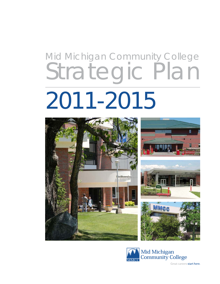# Mid Michigan Community College Strategic Plan 2011-2015





Great careers start here.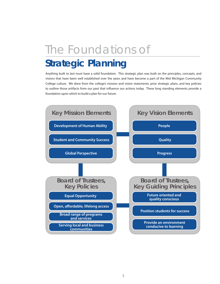## The Foundations of

## **Strategic Planning**

Anything built to last must have a solid foundation. This strategic plan was built on the principles, concepts, and visions that have been well established over the years and have become a part of the Mid Michigan Community College culture. We drew from the college's mission and vision statements, prior strategic plans, and key policies to outline those artifacts from our past that influence our actions today. These long standing elements provide a foundation upon which to build a plan for our future.

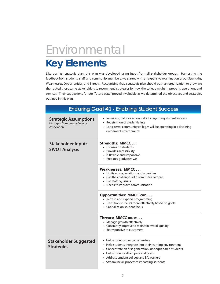## Environmental

### **Key Elements**

Like our last strategic plan, this plan was developed using input from all stakeholder groups. Harnessing the feedback from students, staff, and community members, we started with an expansive examination of our Strengths, Weaknesses, Opportunities, and Threats. Recognizing that a strategic plan should push an organization to grow, we then asked those same stakeholders to recommend strategies for how the college might improve its operations and services. Their suggestions for our "future state" proved invaluable as we determined the objectives and strategies outlined in this plan.

| <b>Enduring Goal #1 - Enabling Student Success</b>                        |                                                                                                                                                                                                                                                                                                      |
|---------------------------------------------------------------------------|------------------------------------------------------------------------------------------------------------------------------------------------------------------------------------------------------------------------------------------------------------------------------------------------------|
| <b>Strategic Assumptions</b><br>Michigan Community College<br>Association | • Increasing calls for accountability regarding student success<br>• Redefinition of credentialing<br>• Long-term, community colleges will be operating in a declining<br>enrollment environment                                                                                                     |
| <b>Stakeholder Input:</b><br><b>SWOT Analysis</b>                         | Strengths: MMCC<br>• Focuses on students<br>• Provides accessibility<br>• Is flexible and responsive<br>• Prepares graduates well                                                                                                                                                                    |
|                                                                           | Weaknesses: MMCC<br>• Limits scope, locations and amenities<br>• Has the challenges of a commuter campus<br>• Has staffing issues<br>• Needs to improve communication                                                                                                                                |
|                                                                           | <b>Opportunities: MMCC can</b><br>• Refresh and expand programming<br>• Transition students more effectively based on goals<br>• Capitalize on student focus                                                                                                                                         |
|                                                                           | Threats: MMCC must<br>• Manage growth effectively<br>• Constantly improve to maintain overall quality<br>• Be responsive to customers                                                                                                                                                                |
| <b>Stakeholder Suggested</b><br><b>Strategies</b>                         | • Help students overcome barriers<br>• Help students integrate into their learning environment<br>• Concentrate on first-generation, underprepared students<br>• Help students attain personal goals<br>• Address student college and life barriers<br>• Streamline all processes impacting students |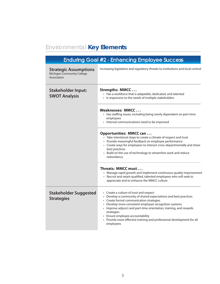### Environmental **Key Elements**

|                                                                                  | <b>Enduring Goal #2 - Enhancing Employee Success</b>                                                                                                                                                                                                                                                                                                                                                                            |
|----------------------------------------------------------------------------------|---------------------------------------------------------------------------------------------------------------------------------------------------------------------------------------------------------------------------------------------------------------------------------------------------------------------------------------------------------------------------------------------------------------------------------|
| <b>Strategic Assumptions</b><br><b>Michigan Community College</b><br>Association | Increasing legislative and regulatory threats to institutions and local control                                                                                                                                                                                                                                                                                                                                                 |
| <b>Stakeholder Input:</b><br><b>SWOT Analysis</b>                                | Strengths: MMCC<br>• Has a workforce that is adaptable, dedicated, and talented<br>• Is responsive to the needs of multiple stakeholders                                                                                                                                                                                                                                                                                        |
|                                                                                  | Weaknesses: MMCC<br>• Has staffing issues, including being overly dependent on part-time<br>employees<br>• Internal communications need to be improved                                                                                                                                                                                                                                                                          |
|                                                                                  | <b>Opportunities: MMCC can</b><br>• Take intentional steps to create a climate of respect and trust<br>• Provide meaningful feedback on employee performance<br>• Create ways for employees to interact cross-departmentally and share<br>best practices<br>• Build on the use of technology to streamline work and reduce<br>redundancy                                                                                        |
|                                                                                  | Threats: MMCC must<br>• Manage rapid growth and implement continuous quality improvement<br>• Recruit and retain qualified, talented employees who will seek to<br>appreciate and to enhance the MMCC culture                                                                                                                                                                                                                   |
| <b>Stakeholder Suggested</b><br><b>Strategies</b>                                | • Create a culture of trust and respect<br>• Develop a community of shared expectations and best practices<br>• Create formal communication strategies<br>• Develop more consistent employee recognition systems<br>• Improve adjunct and part-time orientation, training, and rewards<br>strategies<br>• Ensure employee accountability<br>• Provide more effective training and professional development for all<br>employees |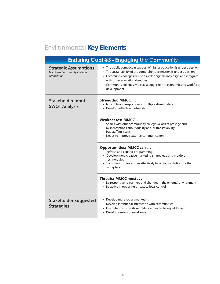### Environmental **Key Elements**

| Enduring Goal #3 - Engaging the Community                                 |                                                                                                                                                                                                                                                                                                                                                     |  |
|---------------------------------------------------------------------------|-----------------------------------------------------------------------------------------------------------------------------------------------------------------------------------------------------------------------------------------------------------------------------------------------------------------------------------------------------|--|
| <b>Strategic Assumptions</b><br>Michigan Community College<br>Association | • The public compact in support of higher education is under question<br>• The sustainability of the comprehensive mission is under question<br>• Community colleges will be asked to significantly align and integrate<br>with other educational entities<br>• Community colleges will play a bigger role in economic and workforce<br>development |  |
| <b>Stakeholder Input:</b><br><b>SWOT Analysis</b>                         | Strengths: MMCC<br>• Is flexible and responsive to multiple stakeholders<br>• Develops effective partnerships                                                                                                                                                                                                                                       |  |
|                                                                           | Weaknesses: MMCC<br>• Shares with other community colleges a lack of prestige and<br>misperceptions about quality and/or transferability<br>• Has staffing issues<br>• Needs to improve external communication                                                                                                                                      |  |
|                                                                           | <b>Opportunities: MMCC can</b><br>• Refresh and expand programming<br>• Develop more creative marketing strategies using multiple<br>technologies<br>• Transition students more effectively to senior institutions or the<br>workplace                                                                                                              |  |
|                                                                           | Threats: MMCC must<br>• Be responsive to partners and changes in the external environment<br>• Be active in opposing threats to local control                                                                                                                                                                                                       |  |
| <b>Stakeholder Suggested</b><br><b>Strategies</b>                         | • Develop more robust marketing<br>• Develop intentional interaction with communities<br>Use data to ensure stakeholder demand is being addressed<br>• Develop centers of excellence                                                                                                                                                                |  |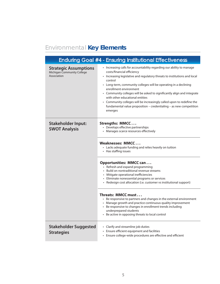### Environmental **Key Elements**

| <b>Enduring Goal #4 - Ensuring Institutional Effectiveness</b>            |                                                                                                                                                                                                                                                                                                                                                                                                                                                                                                                                                                   |
|---------------------------------------------------------------------------|-------------------------------------------------------------------------------------------------------------------------------------------------------------------------------------------------------------------------------------------------------------------------------------------------------------------------------------------------------------------------------------------------------------------------------------------------------------------------------------------------------------------------------------------------------------------|
| <b>Strategic Assumptions</b><br>Michigan Community College<br>Association | • Increasing calls for accountability regarding our ability to manage<br>costs/financial efficiency<br>• Increasing legislative and regulatory threats to institutions and local<br>control<br>• Long-term, community colleges will be operating in a declining<br>enrollment environment<br>• Community colleges will be asked to significantly align and integrate<br>with other educational entities<br>• Community colleges will be increasingly called upon to redefine the<br>fundamental value proposition - credentialing - as new competition<br>emerges |
| <b>Stakeholder Input:</b><br><b>SWOT Analysis</b>                         | <b>Strengths: MMCC</b><br>• Develops effective partnerships<br>• Manages scarce resources effectively<br>Weaknesses: MMCC<br>• Lacks adequate funding and relies heavily on tuition<br>• Has staffing issues                                                                                                                                                                                                                                                                                                                                                      |
|                                                                           | Opportunities: MMCC can<br>• Refresh and expand programming<br>• Build on nontraditional revenue streams<br>• Mitigate operational inefficiencies<br>• Eliminate nonessential programs or services<br>• Redesign cost allocation (i.e. customer vs institutional support)                                                                                                                                                                                                                                                                                         |
|                                                                           | Threats: MMCC must<br>• Be responsive to partners and changes in the external environment<br>• Manage growth and practice continuous quality improvement<br>• Be responsive to changes in enrollment trends including<br>underprepared students<br>• Be active in opposing threats to local control                                                                                                                                                                                                                                                               |
| <b>Stakeholder Suggested</b><br><b>Strategies</b>                         | • Clarify and streamline job duties<br>• Ensure efficient equipment and facilities<br>• Ensure college-wide procedures are effective and efficient                                                                                                                                                                                                                                                                                                                                                                                                                |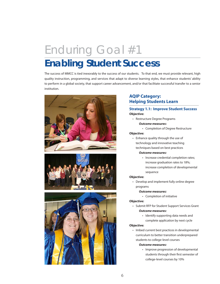## Enduring Goal #1 **Enabling Student Success**

The success of MMCC is tied inexorably to the success of our students. To that end, we must provide relevant, high quality instruction, programming, and services that adapt to diverse learning styles, that enhance students' ability to perform in a global society, that support career advancement, and/or that facilitate successful transfer to a senior institution.







#### **AQIP Category: Helping Students Learn**

#### **Strategy 1.1: Improve Student Success Objective:**

- • Restructure Degree Programs
	- *Outcome measures***:**
		- • Completion of Degree Restructure

#### **Objective:**

 • Enhance quality through the use of technology and innovative teaching techniques based on best practices

#### *Outcome measures:*

• Increase credential completion rates; increase graduation rates to 18%; increase completion of developmental sequence

#### **Objective:**

• Develop and implement fully online degree programs

#### *Outcome measures:*

 • Completion of initiative

#### **Objective:**

- • Submit RFP for Student Support Services Grant  *Outcome measures:*
	- • Identify supporting data needs and complete application by next cycle

#### **Objective:**

• Imbed current best practices in developmental curriculum to better transition underprepared students to college-level courses

#### *Outcome measures:*

 • Improve progression of developmental students through their first semester of college-level courses by 10%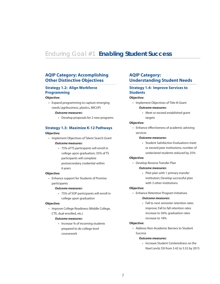### Enduring Goal #1 **Enabling Student Success**

#### **AQIP Category: Accomplishing Other Distinctive Objectives**

#### **Strategy 1.2: Align Workforce Programming**

#### **Objective:**

 • Expand programming to capture emerging needs (agribusiness, plastics, MICUP)

#### *Outcome measures***:**

 • Develop proposals for 2 new programs

#### **Strategy 1.3: Maximize K-12 Pathways**

#### **Objective:**

- • Implement Objectives of Talent Search Grant *Outcome measures***:**
	- • 75% of TS participants will enroll in college upon graduation; 35% of TS participants will complete postsecondary credential within 6 years

#### **Objective:**

 • Enhance support for Students of Promise participants

#### *Outcome measures***:**

 • 75% of SOP participants will enroll in college upon graduation

#### **Objective:**

• Improve College Readiness (Middle College, CTE, dual enrolled, etc.)

#### *Outcome measures***:**

 • Increase % of incoming students prepared to do college level coursework

#### **AQIP Category: Understanding Student Needs**

#### **Strategy 1.4: Improve Services to Students**

#### **Objective:**

 • Implement Objectives of Title III Grant *Outcome measures***:**

 • Meet or exceed established grant 

#### targets

#### **Objective:**

 • Enhance effectiveness of academic advising services

#### *Outcome measures***:**

 • Student Satisfaction Evaluations meet or exceed peer institutions; number of undeclared students reduced by 25%

#### **Objective:**

 • Develop Reverse Transfer Plan

#### *Outcome measures***:**

 • Pilot plan with 1 primary transfer institution; Develop successful plan with 3 other institutions

#### **Objective:**

 • Enhance Retention Program Initiatives

#### *Outcome measures***:**

 • Fall to next semester retention rates improve; Fall to fall retention rates increase to 56%; graduation rates increase to 18%

#### **Objective:**

 • Address Non-Academic Barriers to Student Success

#### *Outcome measures***:**

 • Increase Student Centeredness on the Noel Levitz SSI from 5.42 to 5.52 by 2015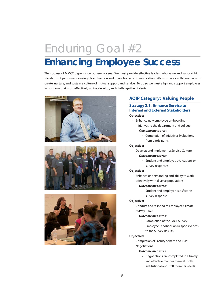## Enduring Goal #2 **Enhancing Employee Success**

The success of MMCC depends on our employees. We must provide effective leaders who value and support high standards of performance using clear direction and open, honest communication. We must work collaboratively to create, nurture, and sustain a culture of mutual support and service. To do so we must align and support employees in positions that most effectively utilize, develop, and challenge their talents.







#### **AQIP Category: Valuing People**

#### **Strategy 2.1: Enhance Service to Internal and External Stakeholders Objective:**

 • Enhance new employee on-boarding initiatives to the department and college

#### *Outcome measures***:**

 • Completion of Initiative; Evaluations from participants

#### **Objective:**

 • Develop and Implement a Service Culture

#### *Outcome measures:*

 • Student and employee evaluations or survey responses

#### **Objective:**

 • Enhance understanding and ability to work effectively with diverse populations

#### *Outcome measures:*

 • Student and employee satisfaction survey response

#### **Objective:**

 • Conduct and respond to Employee Climate Survey (PACE)

#### *Outcome measures:*

 • Completion of the PACE Survey; Employee Feedback on Responsiveness to the Survey Results

#### **Objective:**

 • Completion of Faculty Senate and ESPA Negotiations

#### *Outcome measures:*

 • Negotiations are completed in a timely and effective manner to meet both institutional and staff member needs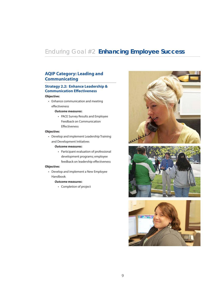### Enduring Goal #2 **Enhancing Employee Success**

#### **AQIP Category: Leading and Communicating**

#### **Strategy 2.2: Enhance Leadership & Communication Effectiveness Objective:**

 • Enhance communication and meeting effectiveness

#### *Outcome measures***:**

 • PACE Survey Results and Employee Feedback on Communication **Effectiveness** 

#### **Objective:**

 • Develop and implement Leadership Training and Development Initiatives

#### *Outcome measures***:**

 • Participant evaluation of professional development programs; employee feedback on leadership effectiveness

#### **Objective:**

 • Develop and implement a New Employee Handbook

#### *Outcome measures***:**

 • Completion of project





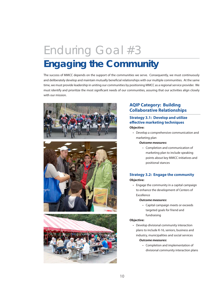## Enduring Goal #3 **Engaging the Community**

The success of MMCC depends on the support of the communities we serve. Consequently, we must continuously and deliberately develop and maintain mutually beneficial relationships with our multiple communities. At the same time, we must provide leadership in uniting our communities by positioning MMCC as a regional service provider. We must identify and prioritize the most significant needs of our communities, assuring that our activities align closely with our mission.







#### **AQIP Category: Building Collaborative Relationships**

#### **Strategy 3.1: Develop and utilize effective marketing techniques Objective:**

 • Develop a comprehensive communication and marketing plan

#### *Outcome measures***:**

 • Completion and communication of marketing plan to include speaking points about key MMCC initiatives and positional stances

#### **Strategy 3.2: Engage the community Objective:**

 • Engage the community in a capital campaign to enhance the development of Centers of Excellence

#### *Outcome measures***:**

 • Capital campaign meets or exceeds targeted goals for friend and fundraising

#### **Objective:**

- Develop divisional community interaction plans to include K-16, seniors, business and industry, municipalities and social services*Outcome measures***:**
	- • Completion and implementation of divisional community interaction plans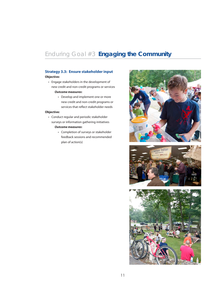### Enduring Goal #3 **Engaging the Community**

#### **Strategy 3.3: Ensure stakeholder input**

#### **Objective:**

- • Engage stakeholders in the development of new credit and non-credit programs or services *Outcome measures***:**
	- • Develop and implement one or more new credit and non-credit programs or services that reflect stakeholder needs

#### **Objective:**

- • Conduct regular and periodic stakeholder surveys or information gathering initiatives *Outcome measures***:**
	- • Completion of surveys or stakeholder feedback sessions and recommended plan of action(s)



![](_page_11_Picture_9.jpeg)

![](_page_11_Picture_10.jpeg)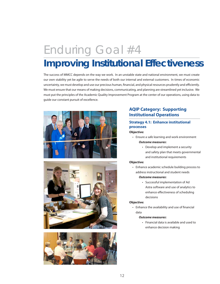## Enduring Goal #4

## **Improving Institutional Effectiveness**

The success of MMCC depends on the way we work. In an unstable state and national environment, we must create our own stability yet be agile to serve the needs of both our internal and external customers. In times of economic uncertainty, we must develop and use our precious human, financial, and physical resources prudently and efficiently. We must ensure that our means of making decisions, communicating, and planning are streamlined yet inclusive. We must put the principles of the Academic Quality Improvement Program at the center of our operations, using data to guide our constant pursuit of excellence.

![](_page_12_Picture_3.jpeg)

![](_page_12_Picture_4.jpeg)

![](_page_12_Picture_5.jpeg)

#### **AQIP Category: Supporting Institutional Operations**

#### **Strategy 4.1: Enhance institutional processes**

#### **Objective:**

- • Ensure a safe learning and work environment *Outcome measures***:**
	- • Develop and implement a security and safety plan that meets governmental and institutional requirements

#### **Objective:**

 • Enhance academic schedule building process to address instructional and student needs

#### *Outcome measures***:**

 • Successful implementation of Ad Astra software and use of analytics to enhance effectiveness of scheduling decisions

#### **Objective:**

 • Enhance the availability and use of financial data

#### *Outcome measures***:**

 • Financial data is available and used to enhance decision making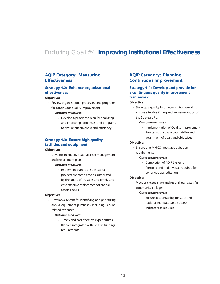### Enduring Goal #4 **Improving Institutional Effectiveness**

#### **AQIP Category: Measuring Effectiveness**

#### **Strategy 4.2: Enhance organizational effectiveness**

#### **Objective:**

 • Review organizational processes and programs for continuous quality improvement

#### *Outcome measures***:**

• Develop a prioritized plan for analyzing and improving processes and programs to ensure effectiveness and efficiency

#### **Strategy 4.3: Ensure high quality facilities and equipment**

#### **Objective:**

 • Develop an effective capital asset management and replacement plan

#### *Outcome measures***:**

• Implement plan to ensure capital projects are completed as authorized by the Board of Trustees and timely and cost effective replacement of capital assets occurs

#### **Objective:**

• Develop a system for identifying and prioritizing annual equipment purchases, including Perkins related expenses.

#### *Outcome measures***:**

 • Timely and cost effective expenditures that are integrated with Perkins funding requirements

#### **AQIP Category: Planning Continuous Improvement**

#### **Strategy 4.4: Develop and provide for a continuous quality improvement framework**

#### **Objective:**

 • Develop a quality improvement framework to ensure effective timing and implementation of the Strategic Plan

#### *Outcome measures***:**

 • Implementation of Quality Improvement Process to ensure accountability and attainment of goals and objectives

#### **Objective:**

 • Ensure that MMCC meets accreditation requirements

#### *Outcome measures***:**

 • Completion of AQIP Systems Portfolio and initiatives as required for continued accreditation

#### **Objective:**

 • Meet or exceed state and federal mandates for community colleges

#### *Outcome measures***:**

 • Ensure accountability for state and national mandates and success indicators as required